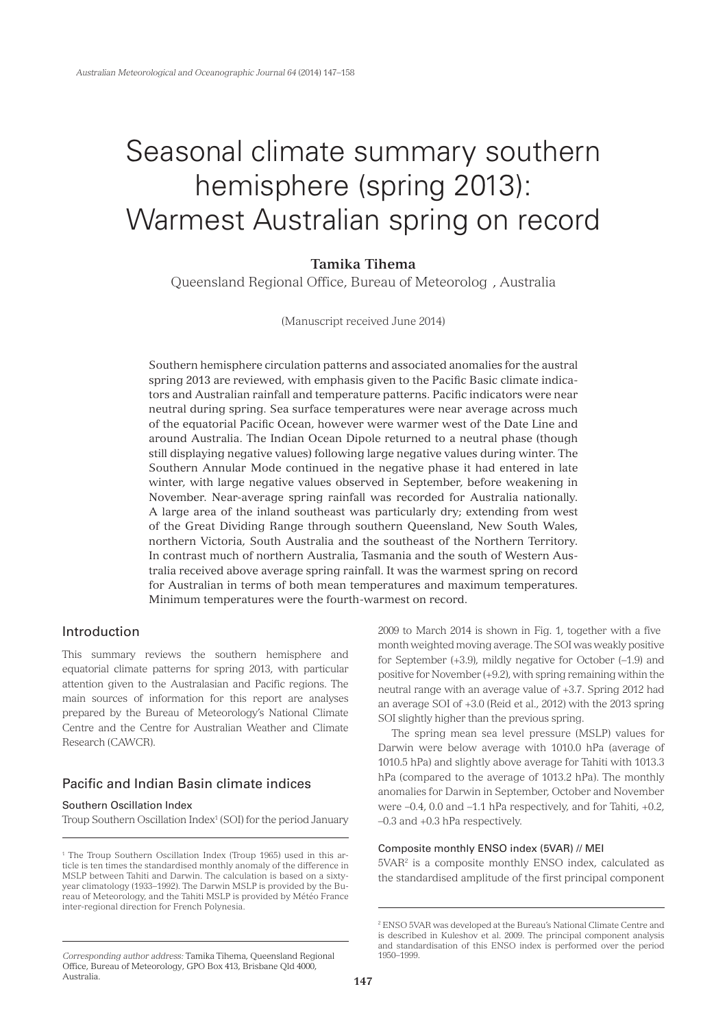# Seasonal climate summary southern hemisphere (spring 2013): Warmest Australian spring on record

# **Tamika Tihema**

Queensland Regional Office, Bureau of Meteorolog , Australia

(Manuscript received June 2014)

Southern hemisphere circulation patterns and associated anomalies for the austral spring 2013 are reviewed, with emphasis given to the Pacific Basic climate indicators and Australian rainfall and temperature patterns. Pacific indicators were near neutral during spring. Sea surface temperatures were near average across much of the equatorial Pacific Ocean, however were warmer west of the Date Line and around Australia. The Indian Ocean Dipole returned to a neutral phase (though still displaying negative values) following large negative values during winter. The Southern Annular Mode continued in the negative phase it had entered in late winter, with large negative values observed in September, before weakening in November. Near-average spring rainfall was recorded for Australia nationally. A large area of the inland southeast was particularly dry; extending from west of the Great Dividing Range through southern Queensland, New South Wales, northern Victoria, South Australia and the southeast of the Northern Territory. In contrast much of northern Australia, Tasmania and the south of Western Australia received above average spring rainfall. It was the warmest spring on record for Australian in terms of both mean temperatures and maximum temperatures. Minimum temperatures were the fourth-warmest on record.

## Introduction

This summary reviews the southern hemisphere and equatorial climate patterns for spring 2013, with particular attention given to the Australasian and Pacific regions. The main sources of information for this report are analyses prepared by the Bureau of Meteorology's National Climate Centre and the Centre for Australian Weather and Climate Research (CAWCR).

# Pacific and Indian Basin climate indices

#### Southern Oscillation Index

Troup Southern Oscillation Index<sup>1</sup> (SOI) for the period January

2009 to March 2014 is shown in Fig. 1, together with a five month weighted moving average. The SOI was weakly positive for September (+3.9), mildly negative for October (–1.9) and positive for November (+9.2), with spring remaining within the neutral range with an average value of +3.7. Spring 2012 had an average SOI of +3.0 (Reid et al., 2012) with the 2013 spring SOI slightly higher than the previous spring.

The spring mean sea level pressure (MSLP) values for Darwin were below average with 1010.0 hPa (average of 1010.5 hPa) and slightly above average for Tahiti with 1013.3 hPa (compared to the average of 1013.2 hPa). The monthly anomalies for Darwin in September, October and November were –0.4, 0.0 and –1.1 hPa respectively, and for Tahiti, +0.2, –0.3 and +0.3 hPa respectively.

## Composite monthly ENSO index (5VAR) // MEI

5VAR<sup>2</sup> is a composite monthly ENSO index, calculated as the standardised amplitude of the first principal component

<sup>1</sup> The Troup Southern Oscillation Index (Troup 1965) used in this article is ten times the standardised monthly anomaly of the difference in MSLP between Tahiti and Darwin. The calculation is based on a sixtyyear climatology (1933–1992). The Darwin MSLP is provided by the Bureau of Meteorology, and the Tahiti MSLP is provided by Météo France inter-regional direction for French Polynesia.

*Corresponding author address: Tamika Tihema, Queensland Regional* Office, Bureau of Meteorology, GPO Box 413, Brisbane Qld 4000, Australia.

<sup>2</sup> ENSO 5VAR was developed at the Bureau's National Climate Centre and is described in Kuleshov et al. 2009. The principal component analysis and standardisation of this ENSO index is performed over the period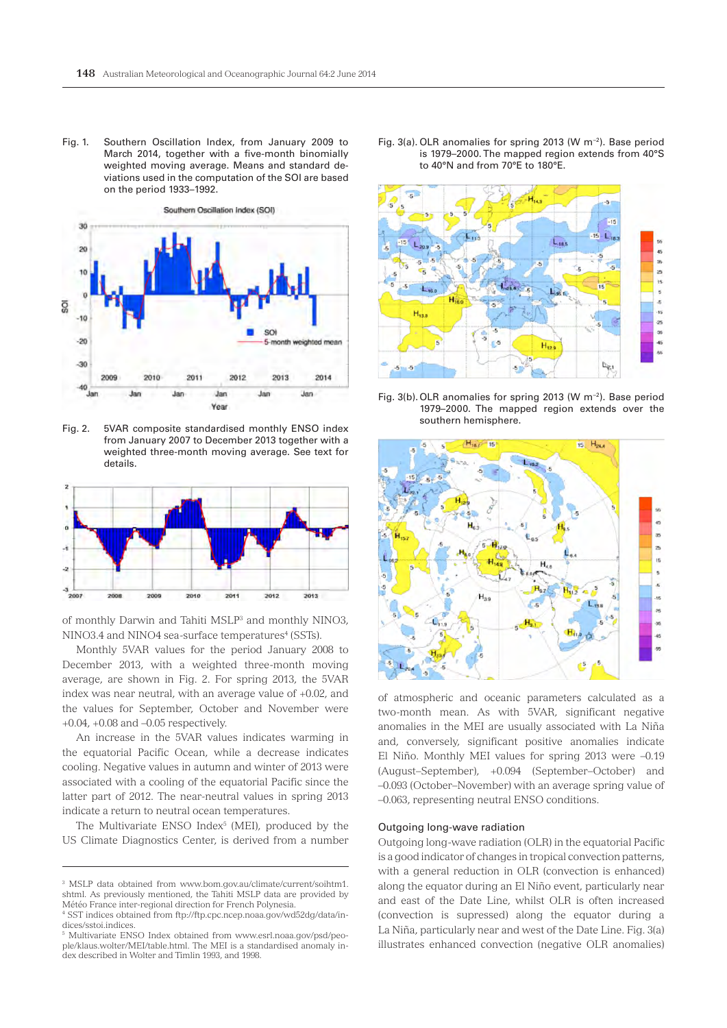Fig. 1. Southern Oscillation Index, from January 2009 to March 2014, together with a five-month binomially weighted moving average. Means and standard deviations used in the computation of the SOI are based on the period 1933–1992.



Fig. 2. 5VAR composite standardised monthly ENSO index from January 2007 to December 2013 together with a weighted three-month moving average. See text for details.



of monthly Darwin and Tahiti MSLP3 and monthly NINO3, NINO3.4 and NINO4 sea-surface temperatures<sup>4</sup> (SSTs).

Monthly 5VAR values for the period January 2008 to December 2013, with a weighted three-month moving average, are shown in Fig. 2. For spring 2013, the 5VAR index was near neutral, with an average value of +0.02, and the values for September, October and November were  $+0.04$ ,  $+0.08$  and  $-0.05$  respectively.

An increase in the 5VAR values indicates warming in the equatorial Pacific Ocean, while a decrease indicates cooling. Negative values in autumn and winter of 2013 were associated with a cooling of the equatorial Pacific since the latter part of 2012. The near-neutral values in spring 2013 indicate a return to neutral ocean temperatures.

The Multivariate ENSO Index<sup>5</sup> (MEI), produced by the US Climate Diagnostics Center, is derived from a number

Fig. 3(a). OLR anomalies for spring 2013 (W m−2). Base period is 1979–2000. The mapped region extends from 40°S to 40°N and from 70°E to 180°E.



Fig. 3(b).OLR anomalies for spring 2013 (W m−2). Base period 1979–2000. The mapped region extends over the southern hemisphere.



of atmospheric and oceanic parameters calculated as a two-month mean. As with 5VAR, significant negative anomalies in the MEI are usually associated with La Niña and, conversely, significant positive anomalies indicate El Niño. Monthly MEI values for spring 2013 were –0.19 (August–September), +0.094 (September–October) and –0.093 (October–November) with an average spring value of –0.063, representing neutral ENSO conditions.

#### Outgoing long-wave radiation

Outgoing long-wave radiation (OLR) in the equatorial Pacific is a good indicator of changes in tropical convection patterns, with a general reduction in OLR (convection is enhanced) along the equator during an El Niño event, particularly near and east of the Date Line, whilst OLR is often increased (convection is supressed) along the equator during a La Niña, particularly near and west of the Date Line. Fig. 3(a) illustrates enhanced convection (negative OLR anomalies)

<sup>3</sup> MSLP data obtained from www.bom.gov.au/climate/current/soihtm1. shtml. As previously mentioned, the Tahiti MSLP data are provided by Météo France inter-regional direction for French Polynesia.

<sup>4</sup> SST indices obtained from ftp://ftp.cpc.ncep.noaa.gov/wd52dg/data/indices/sstoi.indices.

<sup>5</sup> Multivariate ENSO Index obtained from www.esrl.noaa.gov/psd/people/klaus.wolter/MEI/table.html. The MEI is a standardised anomaly index described in Wolter and Timlin 1993, and 1998.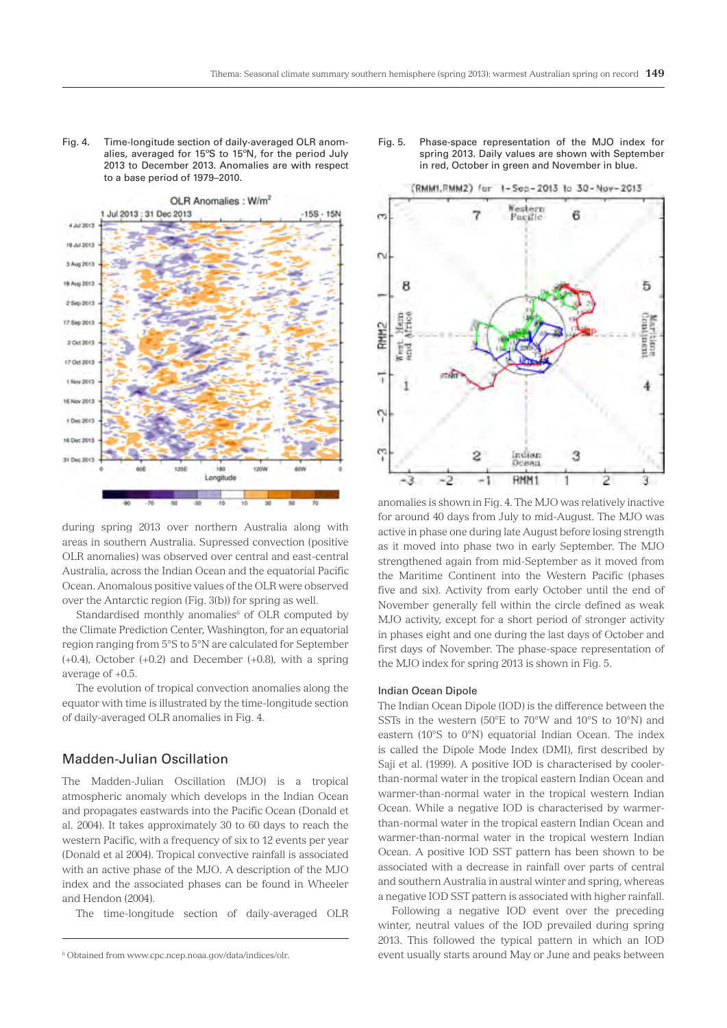Fig. 4. Time-longitude section of daily-averaged OLR anomalies, averaged for 15ºS to 15ºN, for the period July 2013 to December 2013. Anomalies are with respect to a base period of 1979–2010.



during spring 2013 over northern Australia along with areas in southern Australia. Supressed convection (positive OLR anomalies) was observed over central and east-central Australia, across the Indian Ocean and the equatorial Pacific Ocean. Anomalous positive values of the OLR were observed over the Antarctic region (Fig. 3(b)) for spring as well.

Standardised monthly anomalies<sup>6</sup> of OLR computed by the Climate Prediction Center, Washington, for an equatorial region ranging from 5°S to 5°N are calculated for September (+0.4), October (+0.2) and December (+0.8), with a spring average of +0.5.

The evolution of tropical convection anomalies along the equator with time is illustrated by the time-longitude section of daily-averaged OLR anomalies in Fig. 4.

# Madden-Julian Oscillation

The Madden-Julian Oscillation (MJO) is a tropical atmospheric anomaly which develops in the Indian Ocean and propagates eastwards into the Pacific Ocean (Donald et al. 2004). It takes approximately 30 to 60 days to reach the western Pacific, with a frequency of six to 12 events per year (Donald et al 2004). Tropical convective rainfall is associated with an active phase of the MJO. A description of the MJO index and the associated phases can be found in Wheeler and Hendon (2004).

The time-longitude section of daily-averaged OLR

#### Fig. 5. Phase-space representation of the MJO index for spring 2013. Daily values are shown with September in red, October in green and November in blue.



anomalies is shown in Fig. 4. The MJO was relatively inactive for around 40 days from July to mid-August. The MJO was active in phase one during late August before losing strength as it moved into phase two in early September. The MJO strengthened again from mid-September as it moved from the Maritime Continent into the Western Pacific (phases five and six). Activity from early October until the end of November generally fell within the circle defined as weak MJO activity, except for a short period of stronger activity in phases eight and one during the last days of October and first days of November. The phase-space representation of the MJO index for spring 2013 is shown in Fig. 5.

#### Indian Ocean Dipole

The Indian Ocean Dipole (IOD) is the difference between the SSTs in the western (50°E to 70°W and 10°S to 10°N) and eastern (10°S to 0°N) equatorial Indian Ocean. The index is called the Dipole Mode Index (DMI), first described by Saji et al. (1999). A positive IOD is characterised by coolerthan-normal water in the tropical eastern Indian Ocean and warmer-than-normal water in the tropical western Indian Ocean. While a negative IOD is characterised by warmerthan-normal water in the tropical eastern Indian Ocean and warmer-than-normal water in the tropical western Indian Ocean. A positive IOD SST pattern has been shown to be associated with a decrease in rainfall over parts of central and southern Australia in austral winter and spring, whereas a negative IOD SST pattern is associated with higher rainfall.

Following a negative IOD event over the preceding winter, neutral values of the IOD prevailed during spring 2013. This followed the typical pattern in which an IOD event usually starts around May or June and peaks between

<sup>6</sup> Obtained from www.cpc.ncep.noaa.gov/data/indices/olr.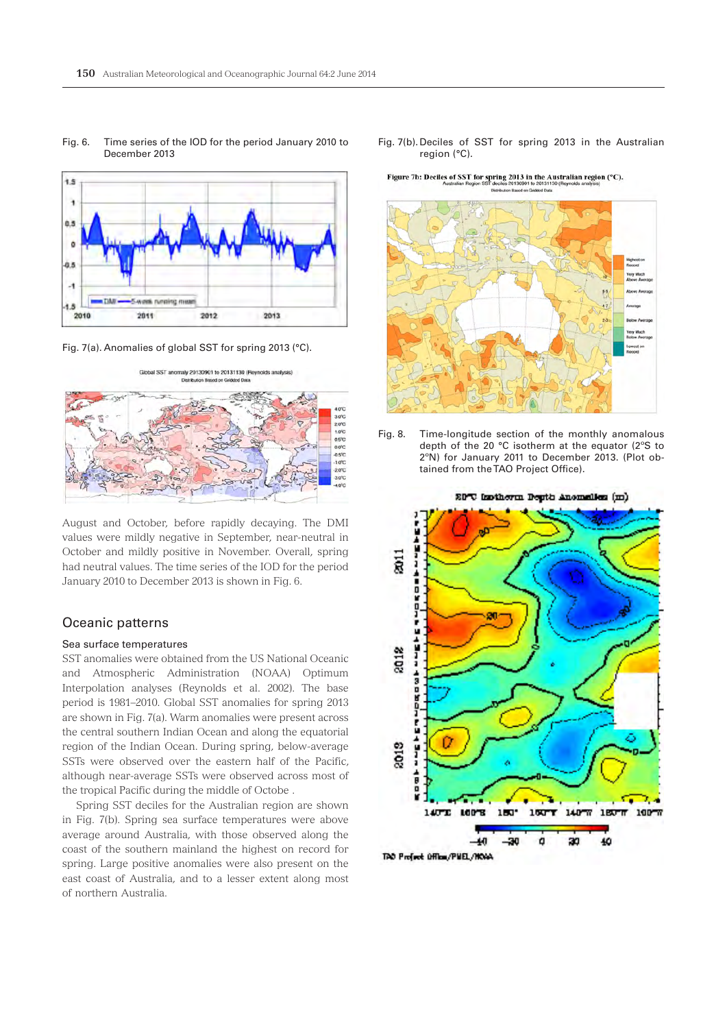

Fig. 6. Time series of the IOD for the period January 2010 to December 2013

Fig. 7(a). Anomalies of global SST for spring 2013 (°C).



August and October, before rapidly decaying. The DMI values were mildly negative in September, near-neutral in October and mildly positive in November. Overall, spring had neutral values. The time series of the IOD for the period January 2010 to December 2013 is shown in Fig. 6.

## Oceanic patterns

#### Sea surface temperatures

SST anomalies were obtained from the US National Oceanic and Atmospheric Administration (NOAA) Optimum Interpolation analyses (Reynolds et al. 2002). The base period is 1981–2010. Global SST anomalies for spring 2013 are shown in Fig. 7(a). Warm anomalies were present across the central southern Indian Ocean and along the equatorial region of the Indian Ocean. During spring, below-average SSTs were observed over the eastern half of the Pacific, although near-average SSTs were observed across most of the tropical Pacific during the middle of Octobe .

Spring SST deciles for the Australian region are shown in Fig. 7(b). Spring sea surface temperatures were above average around Australia, with those observed along the coast of the southern mainland the highest on record for spring. Large positive anomalies were also present on the east coast of Australia, and to a lesser extent along most of northern Australia.

Fig. 7(b).Deciles of SST for spring 2013 in the Australian region (°C).

Figure 7b: Deciles of SST for spring 2013 in the Australian region (°C).



Fig. 8. Time-longitude section of the monthly anomalous depth of the 20 °C isotherm at the equator (2ºS to 2ºN) for January 2011 to December 2013. (Plot obtained from the TAO Project Office).

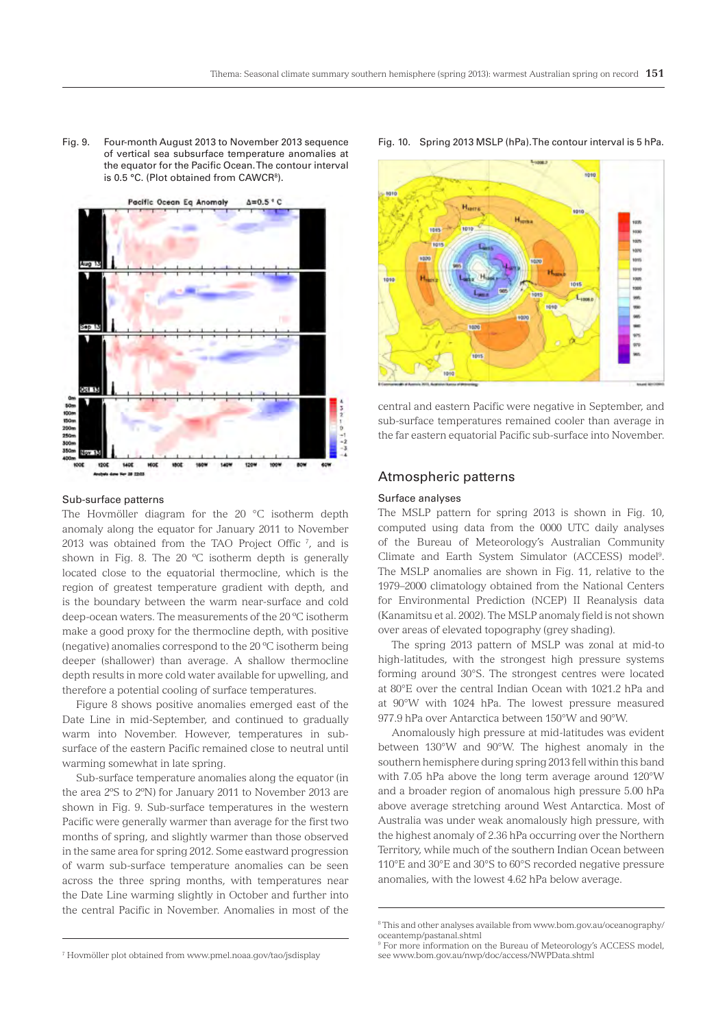Fig. 9. Four-month August 2013 to November 2013 sequence of vertical sea subsurface temperature anomalies at the equator for the Pacific Ocean. The contour interval is 0.5 °C. (Plot obtained from CAWCR<sup>8</sup>).



#### Sub-surface patterns

The Hovmöller diagram for the 20 °C isotherm depth anomaly along the equator for January 2011 to November 2013 was obtained from the TAO Project Offic<sup> $7$ </sup>, and is shown in Fig. 8. The 20 ºC isotherm depth is generally located close to the equatorial thermocline, which is the region of greatest temperature gradient with depth, and is the boundary between the warm near-surface and cold deep-ocean waters. The measurements of the 20 ºC isotherm make a good proxy for the thermocline depth, with positive (negative) anomalies correspond to the 20 ºC isotherm being deeper (shallower) than average. A shallow thermocline depth results in more cold water available for upwelling, and therefore a potential cooling of surface temperatures.

Figure 8 shows positive anomalies emerged east of the Date Line in mid-September, and continued to gradually warm into November. However, temperatures in subsurface of the eastern Pacific remained close to neutral until warming somewhat in late spring.

Sub-surface temperature anomalies along the equator (in the area 2ºS to 2ºN) for January 2011 to November 2013 are shown in Fig. 9. Sub-surface temperatures in the western Pacific were generally warmer than average for the first two months of spring, and slightly warmer than those observed in the same area for spring 2012. Some eastward progression of warm sub-surface temperature anomalies can be seen across the three spring months, with temperatures near the Date Line warming slightly in October and further into the central Pacific in November. Anomalies in most of the





central and eastern Pacific were negative in September, and sub-surface temperatures remained cooler than average in the far eastern equatorial Pacific sub-surface into November.

# Atmospheric patterns8

#### Surface analyses

The MSLP pattern for spring 2013 is shown in Fig. 10, computed using data from the 0000 UTC daily analyses of the Bureau of Meteorology's Australian Community Climate and Earth System Simulator (ACCESS) model<sup>9</sup>. The MSLP anomalies are shown in Fig. 11, relative to the 1979–2000 climatology obtained from the National Centers for Environmental Prediction (NCEP) II Reanalysis data (Kanamitsu et al. 2002). The MSLP anomaly field is not shown over areas of elevated topography (grey shading).

The spring 2013 pattern of MSLP was zonal at mid-to high-latitudes, with the strongest high pressure systems forming around 30°S. The strongest centres were located at 80°E over the central Indian Ocean with 1021.2 hPa and at 90°W with 1024 hPa. The lowest pressure measured 977.9 hPa over Antarctica between 150°W and 90°W.

Anomalously high pressure at mid-latitudes was evident between 130°W and 90°W. The highest anomaly in the southern hemisphere during spring 2013 fell within this band with 7.05 hPa above the long term average around 120°W and a broader region of anomalous high pressure 5.00 hPa above average stretching around West Antarctica. Most of Australia was under weak anomalously high pressure, with the highest anomaly of 2.36 hPa occurring over the Northern Territory, while much of the southern Indian Ocean between 110°E and 30°E and 30°S to 60°S recorded negative pressure anomalies, with the lowest 4.62 hPa below average.

<sup>8</sup> This and other analyses available from www.bom.gov.au/oceanography/ oceantemp/pastanal.shtml

<sup>9</sup> For more information on the Bureau of Meteorology's ACCESS model, see www.bom.gov.au/nwp/doc/access/NWPData.shtml

<sup>7</sup> Hovmöller plot obtained from www.pmel.noaa.gov/tao/jsdisplay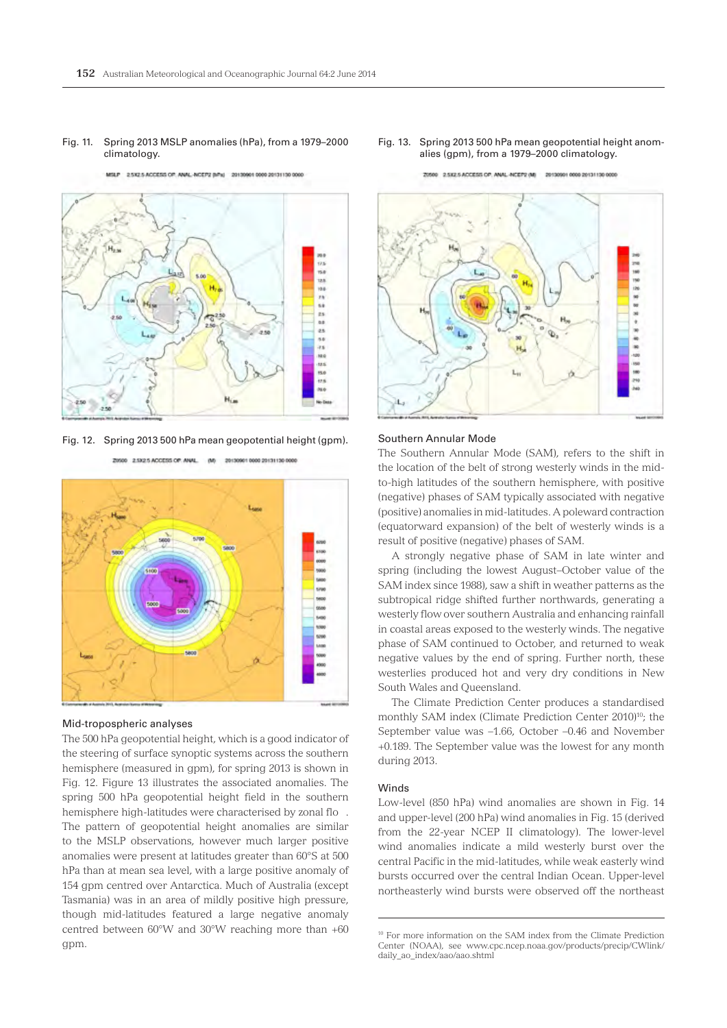#### Fig. 11. Spring 2013 MSLP anomalies (hPa), from a 1979–2000 climatology.

2.5X2.5 ACCESS OF: ANAL-NCEP2 (Mhs) 201309010000 20131130 0000



Fig. 12. Spring 2013 500 hPa mean geopotential height (gpm).



20500 2.5X2.5 ACCESS OF ANAL (M) 201309010000 20131130 0000

## Mid-tropospheric analyses

The 500 hPa geopotential height, which is a good indicator of the steering of surface synoptic systems across the southern hemisphere (measured in gpm), for spring 2013 is shown in Fig. 12. Figure 13 illustrates the associated anomalies. The spring 500 hPa geopotential height field in the southern hemisphere high-latitudes were characterised by zonal flo . The pattern of geopotential height anomalies are similar to the MSLP observations, however much larger positive anomalies were present at latitudes greater than 60°S at 500 hPa than at mean sea level, with a large positive anomaly of 154 gpm centred over Antarctica. Much of Australia (except Tasmania) was in an area of mildly positive high pressure, though mid-latitudes featured a large negative anomaly centred between 60°W and 30°W reaching more than +60 gpm.

Fig. 13. Spring 2013 500 hPa mean geopotential height anomalies (gpm), from a 1979–2000 climatology.



2.5K2.5 ACCESS OP: ANAL-NCEP2 (M) 20130901 0000 20131130 0000

#### Southern Annular Mode

The Southern Annular Mode (SAM), refers to the shift in the location of the belt of strong westerly winds in the midto-high latitudes of the southern hemisphere, with positive (negative) phases of SAM typically associated with negative (positive) anomalies in mid-latitudes. A poleward contraction (equatorward expansion) of the belt of westerly winds is a result of positive (negative) phases of SAM.

A strongly negative phase of SAM in late winter and spring (including the lowest August–October value of the SAM index since 1988), saw a shift in weather patterns as the subtropical ridge shifted further northwards, generating a westerly flow over southern Australia and enhancing rainfall in coastal areas exposed to the westerly winds. The negative phase of SAM continued to October, and returned to weak negative values by the end of spring. Further north, these westerlies produced hot and very dry conditions in New South Wales and Queensland.

The Climate Prediction Center produces a standardised monthly SAM index (Climate Prediction Center 2010)<sup>10</sup>; the September value was –1.66, October –0.46 and November +0.189. The September value was the lowest for any month during 2013.

#### **Winds**

Low-level (850 hPa) wind anomalies are shown in Fig. 14 and upper-level (200 hPa) wind anomalies in Fig. 15 (derived from the 22-year NCEP II climatology). The lower-level wind anomalies indicate a mild westerly burst over the central Pacific in the mid-latitudes, while weak easterly wind bursts occurred over the central Indian Ocean. Upper-level northeasterly wind bursts were observed off the northeast

<sup>10</sup> For more information on the SAM index from the Climate Prediction Center (NOAA), see www.cpc.ncep.noaa.gov/products/precip/CWlink/ daily\_ao\_index/aao/aao.shtml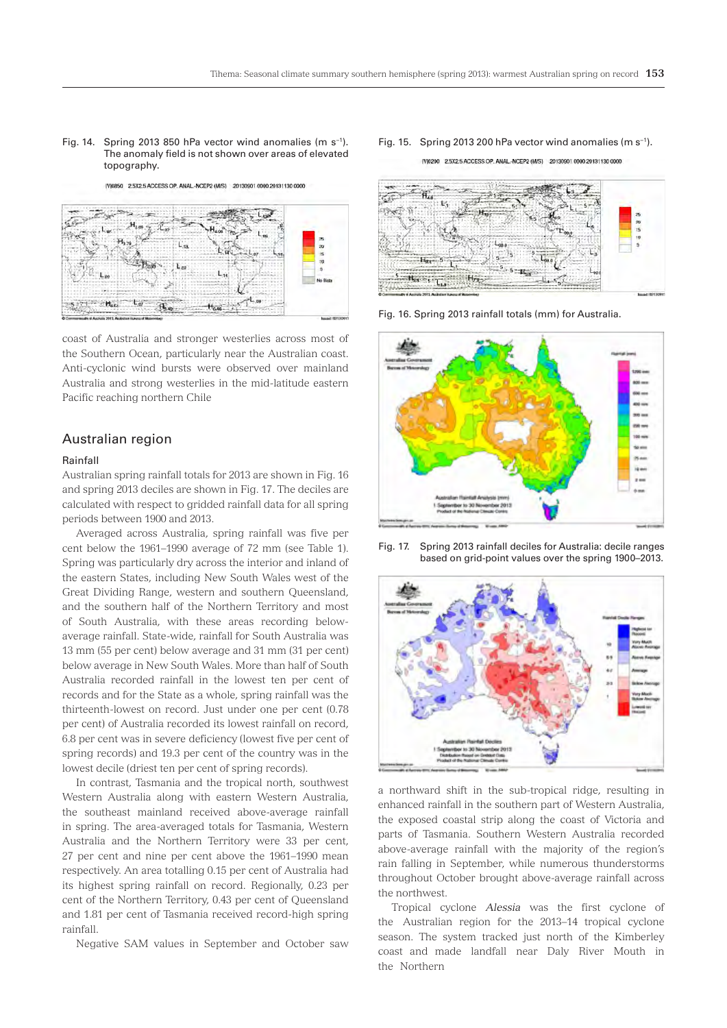#### Fig. 14. Spring 2013 850 hPa vector wind anomalies (m s−1). The anomaly field is not shown over areas of elevated topography.

[V]0850 2.5X2.5 ACCESS OP. ANAL.-NCEP2 (M/S) 20130901 0000 20131130 0000



coast of Australia and stronger westerlies across most of the Southern Ocean, particularly near the Australian coast. Anti-cyclonic wind bursts were observed over mainland Australia and strong westerlies in the mid-latitude eastern Pacific reaching northern Chile

# Australian region

## Rainfall

Australian spring rainfall totals for 2013 are shown in Fig. 16 and spring 2013 deciles are shown in Fig. 17. The deciles are calculated with respect to gridded rainfall data for all spring periods between 1900 and 2013.

Averaged across Australia, spring rainfall was five per cent below the 1961–1990 average of 72 mm (see Table 1). Spring was particularly dry across the interior and inland of the eastern States, including New South Wales west of the Great Dividing Range, western and southern Queensland, and the southern half of the Northern Territory and most of South Australia, with these areas recording belowaverage rainfall. State-wide, rainfall for South Australia was 13 mm (55 per cent) below average and 31 mm (31 per cent) below average in New South Wales. More than half of South Australia recorded rainfall in the lowest ten per cent of records and for the State as a whole, spring rainfall was the thirteenth-lowest on record. Just under one per cent (0.78 per cent) of Australia recorded its lowest rainfall on record, 6.8 per cent was in severe deficiency (lowest five per cent of spring records) and 19.3 per cent of the country was in the lowest decile (driest ten per cent of spring records).

In contrast, Tasmania and the tropical north, southwest Western Australia along with eastern Western Australia, the southeast mainland received above-average rainfall in spring. The area-averaged totals for Tasmania, Western Australia and the Northern Territory were 33 per cent, 27 per cent and nine per cent above the 1961–1990 mean respectively. An area totalling 0.15 per cent of Australia had its highest spring rainfall on record. Regionally, 0.23 per cent of the Northern Territory, 0.43 per cent of Queensland and 1.81 per cent of Tasmania received record-high spring rainfall.

Negative SAM values in September and October saw

#### Fig. 15. Spring 2013 200 hPa vector wind anomalies (m s−1).

IV10200 2.5X2.5 ACCESS OP. ANAL.-NCEP2 (M/S) 20130901 0000 20131130 0000



Fig. 16. Spring 2013 rainfall totals (mm) for Australia.



Fig. 17. Spring 2013 rainfall deciles for Australia: decile ranges based on grid-point values over the spring 1900–2013.



a northward shift in the sub-tropical ridge, resulting in enhanced rainfall in the southern part of Western Australia, the exposed coastal strip along the coast of Victoria and parts of Tasmania. Southern Western Australia recorded above-average rainfall with the majority of the region's rain falling in September, while numerous thunderstorms throughout October brought above-average rainfall across the northwest.

Tropical cyclone *Alessia* was the first cyclone of the Australian region for the 2013–14 tropical cyclone season. The system tracked just north of the Kimberley coast and made landfall near Daly River Mouth in the Northern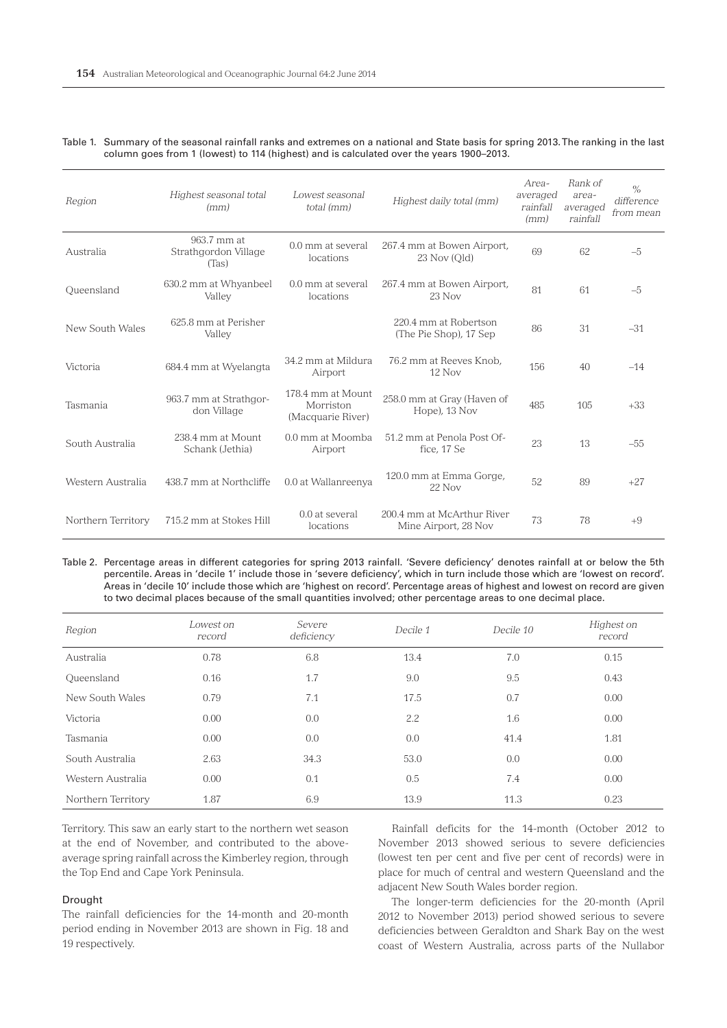| Region             | Highest seasonal total<br>(mm)               | Lowest seasonal<br>total (mm)                       | Highest daily total (mm)                           | Area-<br>averaged<br>rainfall<br>(mm) | Rank of<br>area-<br>averaged<br>rainfall | $\%$<br>difference<br>from mean |
|--------------------|----------------------------------------------|-----------------------------------------------------|----------------------------------------------------|---------------------------------------|------------------------------------------|---------------------------------|
| Australia          | 963.7 mm at<br>Strathgordon Village<br>(Tas) | 0.0 mm at several<br>locations                      | 267.4 mm at Bowen Airport,<br>$23$ Nov (Old)       | 69                                    | 62                                       | $-5$                            |
| Oueensland         | 630.2 mm at Whyanbeel<br>Valley              | 0.0 mm at several<br>locations                      | 267.4 mm at Bowen Airport,<br>23 Nov               | 81                                    | 61                                       | $-5$                            |
| New South Wales    | 625.8 mm at Perisher<br>Valley               |                                                     | 220.4 mm at Robertson<br>(The Pie Shop), 17 Sep    | 86                                    | 31                                       | $-31$                           |
| Victoria           | 684.4 mm at Wyelangta                        | 34.2 mm at Mildura<br>Airport                       | 76.2 mm at Reeves Knob.<br>$12$ Nov                | 156                                   | 40                                       | $-14$                           |
| Tasmania           | 963.7 mm at Strathgor-<br>don Village        | 178.4 mm at Mount<br>Morriston<br>(Macquarie River) | 258.0 mm at Gray (Haven of<br>Hope), 13 Nov        | 485                                   | 105                                      | $+33$                           |
| South Australia    | 238.4 mm at Mount<br>Schank (Jethia)         | 0.0 mm at Moomba<br>Airport                         | 51.2 mm at Penola Post Of-<br>fice, 17 Se          | 23                                    | 13                                       | $-55$                           |
| Western Australia  | 438.7 mm at Northcliffe                      | 0.0 at Wallanreenya                                 | 120.0 mm at Emma Gorge,<br>$22$ Nov                | 52                                    | 89                                       | $+27$                           |
| Northern Territory | 715.2 mm at Stokes Hill                      | $0.0$ at several<br>locations                       | 200.4 mm at McArthur River<br>Mine Airport, 28 Nov | 73                                    | 78                                       | $+9$                            |

| Table 1. Summary of the seasonal rainfall ranks and extremes on a national and State basis for spring 2013. The ranking in the last |
|-------------------------------------------------------------------------------------------------------------------------------------|
| column goes from 1 (lowest) to 114 (highest) and is calculated over the years 1900–2013.                                            |

Table 2. Percentage areas in different categories for spring 2013 rainfall. 'Severe deficiency' denotes rainfall at or below the 5th percentile. Areas in 'decile 1' include those in 'severe deficiency', which in turn include those which are 'lowest on record'. Areas in 'decile 10' include those which are 'highest on record'. Percentage areas of highest and lowest on record are given to two decimal places because of the small quantities involved; other percentage areas to one decimal place.

| Region             | Lowest on<br>record | Severe<br>deficiency | Decile 1 | Decile 10 | Highest on<br>record |
|--------------------|---------------------|----------------------|----------|-----------|----------------------|
| Australia          | 0.78                | 6.8                  | 13.4     | 7.0       | 0.15                 |
| Queensland         | 0.16                | 1.7                  | 9.0      | 9.5       | 0.43                 |
| New South Wales    | 0.79                | 7.1                  | 17.5     | 0.7       | 0.00                 |
| Victoria           | 0.00                | 0.0                  | 2.2      | 1.6       | 0.00                 |
| Tasmania           | 0.00                | 0.0                  | 0.0      | 41.4      | 1.81                 |
| South Australia    | 2.63                | 34.3                 | 53.0     | 0.0       | 0.00                 |
| Western Australia  | 0.00                | 0.1                  | 0.5      | 7.4       | 0.00                 |
| Northern Territory | 1.87                | 6.9                  | 13.9     | 11.3      | 0.23                 |

Territory. This saw an early start to the northern wet season at the end of November, and contributed to the aboveaverage spring rainfall across the Kimberley region, through the Top End and Cape York Peninsula.

### Drought

The rainfall deficiencies for the 14-month and 20-month period ending in November 2013 are shown in Fig. 18 and 19 respectively.

Rainfall deficits for the 14-month (October 2012 to November 2013 showed serious to severe deficiencies (lowest ten per cent and five per cent of records) were in place for much of central and western Queensland and the adjacent New South Wales border region.

The longer-term deficiencies for the 20-month (April 2012 to November 2013) period showed serious to severe deficiencies between Geraldton and Shark Bay on the west coast of Western Australia, across parts of the Nullabor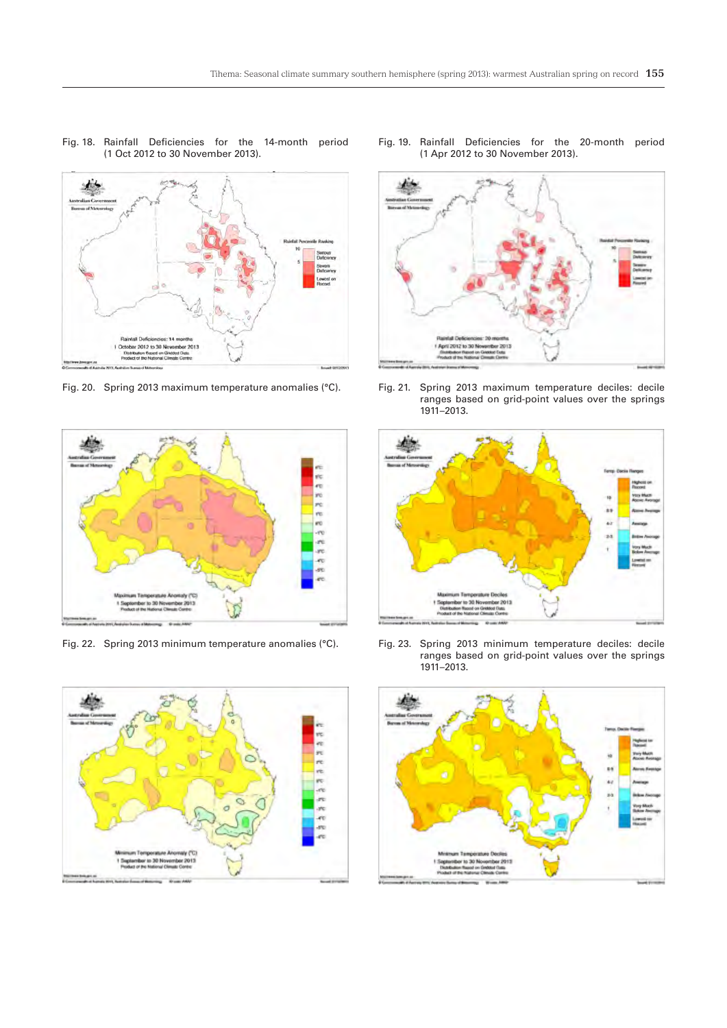

Fig. 18. Rainfall Deficiencies for the 14-month period

(1 Oct 2012 to 30 November 2013).

Fig. 20. Spring 2013 maximum temperature anomalies (°C).



Fig. 22. Spring 2013 minimum temperature anomalies (°C).



Fig. 19. Rainfall Deficiencies for the 20-month period (1 Apr 2012 to 30 November 2013).



Fig. 21. Spring 2013 maximum temperature deciles: decile ranges based on grid-point values over the springs 1911–2013.



Fig. 23. Spring 2013 minimum temperature deciles: decile ranges based on grid-point values over the springs 1911–2013.

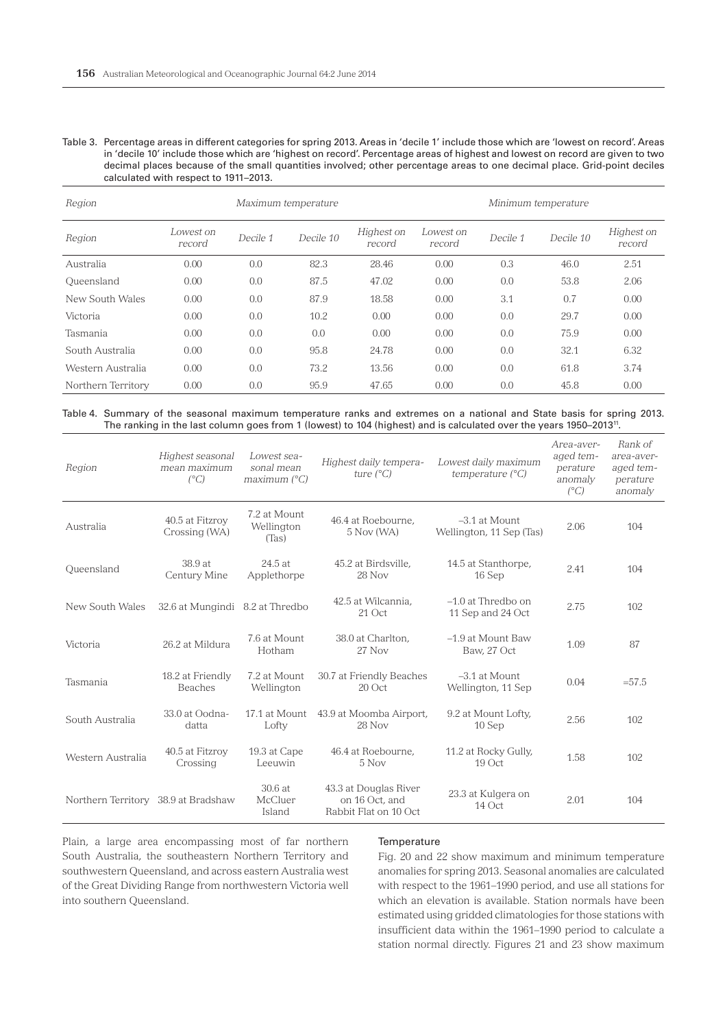Table 3. Percentage areas in different categories for spring 2013. Areas in 'decile 1' include those which are 'lowest on record'. Areas in 'decile 10' include those which are 'highest on record'. Percentage areas of highest and lowest on record are given to two decimal places because of the small quantities involved; other percentage areas to one decimal place. Grid-point deciles calculated with respect to 1911–2013.

| Region             |                     |          | Maximum temperature | Minimum temperature  |                     |          |           |                      |
|--------------------|---------------------|----------|---------------------|----------------------|---------------------|----------|-----------|----------------------|
| Region             | Lowest on<br>record | Decile 1 | Decile 10           | Highest on<br>record | Lowest on<br>record | Decile 1 | Decile 10 | Highest on<br>record |
| Australia          | 0.00                | 0.0      | 82.3                | 28.46                | 0.00                | 0.3      | 46.0      | 2.51                 |
| Queensland         | 0.00                | 0.0      | 87.5                | 47.02                | 0.00                | 0.0      | 53.8      | 2.06                 |
| New South Wales    | 0.00                | 0.0      | 87.9                | 18.58                | 0.00                | 3.1      | 0.7       | 0.00                 |
| Victoria           | 0.00                | 0.0      | 10.2                | 0.00                 | 0.00                | 0.0      | 29.7      | 0.00                 |
| Tasmania           | 0.00                | 0.0      | 0.0                 | 0.00                 | 0.00                | 0.0      | 75.9      | 0.00                 |
| South Australia    | 0.00                | 0.0      | 95.8                | 24.78                | 0.00                | 0.0      | 32.1      | 6.32                 |
| Western Australia  | 0.00                | 0.0      | 73.2                | 13.56                | 0.00                | 0.0      | 61.8      | 3.74                 |
| Northern Territory | 0.00                | 0.0      | 95.9                | 47.65                | 0.00                | 0.0      | 45.8      | 0.00                 |

Table 4. Summary of the seasonal maximum temperature ranks and extremes on a national and State basis for spring 2013. The ranking in the last column goes from 1 (lowest) to 104 (highest) and is calculated over the years 1950–201311.

| Region                              | Highest seasonal<br>mean maximum<br>$(^{\circ}C)$ | Lowest sea-<br>sonal mean<br>maximum (°C) | Highest daily tempera-<br>ture $(^{\circ}C)$                     | Lowest daily maximum<br>temperature $(^{\circ}C)$ | Area-aver-<br>aged tem-<br>perature<br>anomaly<br>$(^{\circ}C)$ | Rank of<br>area-aver-<br>aged tem-<br>perature<br>anomaly |
|-------------------------------------|---------------------------------------------------|-------------------------------------------|------------------------------------------------------------------|---------------------------------------------------|-----------------------------------------------------------------|-----------------------------------------------------------|
| Australia                           | 40.5 at Fitzroy<br>Crossing (WA)                  | 7.2 at Mount<br>Wellington<br>(Tas)       | 46.4 at Roebourne.<br>5 Nov (WA)                                 | $-3.1$ at Mount<br>Wellington, 11 Sep (Tas)       | 2.06                                                            | 104                                                       |
| Oueensland                          | 38.9 at<br>Century Mine                           | 24.5 at<br>Applethorpe                    | 45.2 at Birdsville,<br>28 Nov                                    | 14.5 at Stanthorpe,<br>16 Sep                     | 2.41                                                            | 104                                                       |
| New South Wales                     | 32.6 at Mungindi 8.2 at Thredbo                   |                                           | 42.5 at Wilcannia,<br>21 Oct                                     | $-1.0$ at Thredbo on<br>11 Sep and 24 Oct         | 2.75                                                            | 102                                                       |
| Victoria                            | 26.2 at Mildura                                   | 7.6 at Mount<br>Hotham                    | 38.0 at Charlton.<br>27 Nov                                      | -1.9 at Mount Baw<br>Baw, 27 Oct                  | 1.09                                                            | 87                                                        |
| Tasmania                            | 18.2 at Friendly<br><b>Beaches</b>                | 7.2 at Mount<br>Wellington                | 30.7 at Friendly Beaches<br>$20$ Oct                             | $-3.1$ at Mount<br>Wellington, 11 Sep             | 0.04                                                            | $= 57.5$                                                  |
| South Australia                     | 33.0 at Oodna-<br>datta                           | 17.1 at Mount<br>Lofty                    | 43.9 at Moomba Airport,<br>28 Nov                                | 9.2 at Mount Lofty,<br>10 Sep                     | 2.56                                                            | 102                                                       |
| Western Australia                   | 40.5 at Fitzroy<br>Crossing                       | 19.3 at Cape<br>Leeuwin                   | 46.4 at Roebourne,<br>5 Nov                                      | 11.2 at Rocky Gully,<br>19 Oct                    | 1.58                                                            | 102                                                       |
| Northern Territory 38.9 at Bradshaw |                                                   | 30.6 at<br>McCluer<br>Island              | 43.3 at Douglas River<br>on 16 Oct, and<br>Rabbit Flat on 10 Oct | 23.3 at Kulgera on<br>14 Oct                      | 2.01                                                            | 104                                                       |

Plain, a large area encompassing most of far northern South Australia, the southeastern Northern Territory and southwestern Queensland, and across eastern Australia west of the Great Dividing Range from northwestern Victoria well into southern Queensland.

#### Temperature

Fig. 20 and 22 show maximum and minimum temperature anomalies for spring 2013. Seasonal anomalies are calculated with respect to the 1961–1990 period, and use all stations for which an elevation is available. Station normals have been estimated using gridded climatologies for those stations with insufficient data within the 1961–1990 period to calculate a station normal directly. Figures 21 and 23 show maximum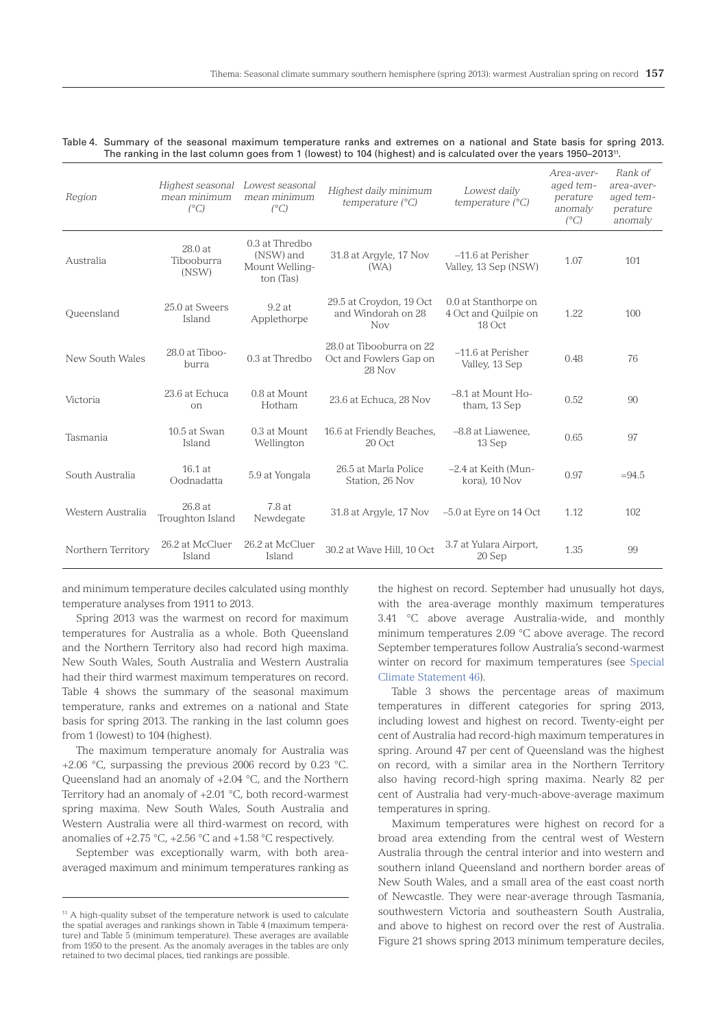|  | Table 4. Summary of the seasonal maximum temperature ranks and extremes on a national and State basis for spring 2013.          |  |  |  |  |  |  |
|--|---------------------------------------------------------------------------------------------------------------------------------|--|--|--|--|--|--|
|  | The ranking in the last column goes from 1 (lowest) to 104 (highest) and is calculated over the years 1950–2013 <sup>11</sup> . |  |  |  |  |  |  |

| Region             | Highest seasonal<br>mean minimum<br>$(^{\circ}C)$ | Lowest seasonal<br>mean minimum<br>$(^{\circ}C)$             | Highest daily minimum<br>temperature $(^{\circ}C)$           | Lowest daily<br>temperature $(^{\circ}C)$              | Area-aver-<br>aged tem-<br>perature<br>anomaly<br>$(^{\circ}C)$ | Rank of<br>area-aver-<br>aged tem-<br>perature<br>anomaly |
|--------------------|---------------------------------------------------|--------------------------------------------------------------|--------------------------------------------------------------|--------------------------------------------------------|-----------------------------------------------------------------|-----------------------------------------------------------|
| Australia          | 28.0 at<br>Tibooburra<br>(NSW)                    | $0.3$ at Thredbo<br>(NSW) and<br>Mount Welling-<br>ton (Tas) | 31.8 at Argyle, 17 Nov<br>(W <sub>A</sub> )                  | $-11.6$ at Perisher<br>Valley, 13 Sep (NSW)            | 1.07                                                            | 101                                                       |
| Oueensland         | 25.0 at Sweers<br>Island                          | 9.2 at<br>Applethorpe                                        | 29.5 at Croydon, 19 Oct<br>and Windorah on 28<br><b>Nov</b>  | 0.0 at Stanthorpe on<br>4 Oct and Quilpie on<br>18 Oct | 1.22                                                            | 100                                                       |
| New South Wales    | $28.0$ at Tiboo-<br>burra                         | 0.3 at Thredbo                                               | 28.0 at Tibooburra on 22<br>Oct and Fowlers Gap on<br>28 Nov | $-11.6$ at Perisher<br>Valley, 13 Sep                  | 0.48                                                            | 76                                                        |
| Victoria           | 23.6 at Echuca<br>$_{\rm on}$                     | 0.8 at Mount<br>Hotham                                       | 23.6 at Echuca, 28 Nov                                       | $-8.1$ at Mount Ho-<br>tham, 13 Sep                    | 0.52                                                            | 90                                                        |
| Tasmania           | 10.5 at Swan<br>Island                            | 0.3 at Mount<br>Wellington                                   | 16.6 at Friendly Beaches,<br>$20$ Oct                        | -8.8 at Liawenee,<br>13 Sep                            | 0.65                                                            | 97                                                        |
| South Australia    | $16.1$ at<br>Oodnadatta                           | 5.9 at Yongala                                               | 26.5 at Marla Police<br>Station, 26 Nov                      | -2.4 at Keith (Mun-<br>kora), 10 Nov                   | 0.97                                                            | $=94.5$                                                   |
| Western Australia  | 26.8 at<br>Troughton Island                       | 7.8 at<br>Newdegate                                          | 31.8 at Argyle, 17 Nov                                       | $-5.0$ at Eyre on 14 Oct                               | 1.12                                                            | 102                                                       |
| Northern Territory | 26.2 at McCluer<br>Island                         | 26.2 at McCluer<br>Island                                    | 30.2 at Wave Hill. 10 Oct                                    | 3.7 at Yulara Airport,<br>20 Sep                       | 1.35                                                            | 99                                                        |

and minimum temperature deciles calculated using monthly temperature analyses from 1911 to 2013.

Spring 2013 was the warmest on record for maximum temperatures for Australia as a whole. Both Queensland and the Northern Territory also had record high maxima. New South Wales, South Australia and Western Australia had their third warmest maximum temperatures on record. Table 4 shows the summary of the seasonal maximum temperature, ranks and extremes on a national and State basis for spring 2013. The ranking in the last column goes from 1 (lowest) to 104 (highest).

The maximum temperature anomaly for Australia was +2.06 °C, surpassing the previous 2006 record by 0.23 °C. Queensland had an anomaly of +2.04 °C, and the Northern Territory had an anomaly of +2.01 °C, both record-warmest spring maxima. New South Wales, South Australia and Western Australia were all third-warmest on record, with anomalies of  $+2.75$  °C,  $+2.56$  °C and  $+1.58$  °C respectively.

September was exceptionally warm, with both areaaveraged maximum and minimum temperatures ranking as the highest on record. September had unusually hot days, with the area-average monthly maximum temperatures 3.41 °C above average Australia-wide, and monthly minimum temperatures 2.09 °C above average. The record September temperatures follow Australia's second-warmest winter on record for maximum temperatures (see [Special](http://www.bom.gov.au/climate/current/statements/scs46.pdf) [Climate Statement 46\)](http://www.bom.gov.au/climate/current/statements/scs46.pdf).

Table 3 shows the percentage areas of maximum temperatures in different categories for spring 2013, including lowest and highest on record. Twenty-eight per cent of Australia had record-high maximum temperatures in spring. Around 47 per cent of Queensland was the highest on record, with a similar area in the Northern Territory also having record-high spring maxima. Nearly 82 per cent of Australia had very-much-above-average maximum temperatures in spring.

Maximum temperatures were highest on record for a broad area extending from the central west of Western Australia through the central interior and into western and southern inland Queensland and northern border areas of New South Wales, and a small area of the east coast north of Newcastle. They were near-average through Tasmania, southwestern Victoria and southeastern South Australia, and above to highest on record over the rest of Australia. Figure 21 shows spring 2013 minimum temperature deciles,

<sup>&</sup>lt;sup>11</sup> A high-quality subset of the temperature network is used to calculate the spatial averages and rankings shown in Table 4 (maximum temperature) and Table 5 (minimum temperature). These averages are available from 1950 to the present. As the anomaly averages in the tables are only retained to two decimal places, tied rankings are possible.